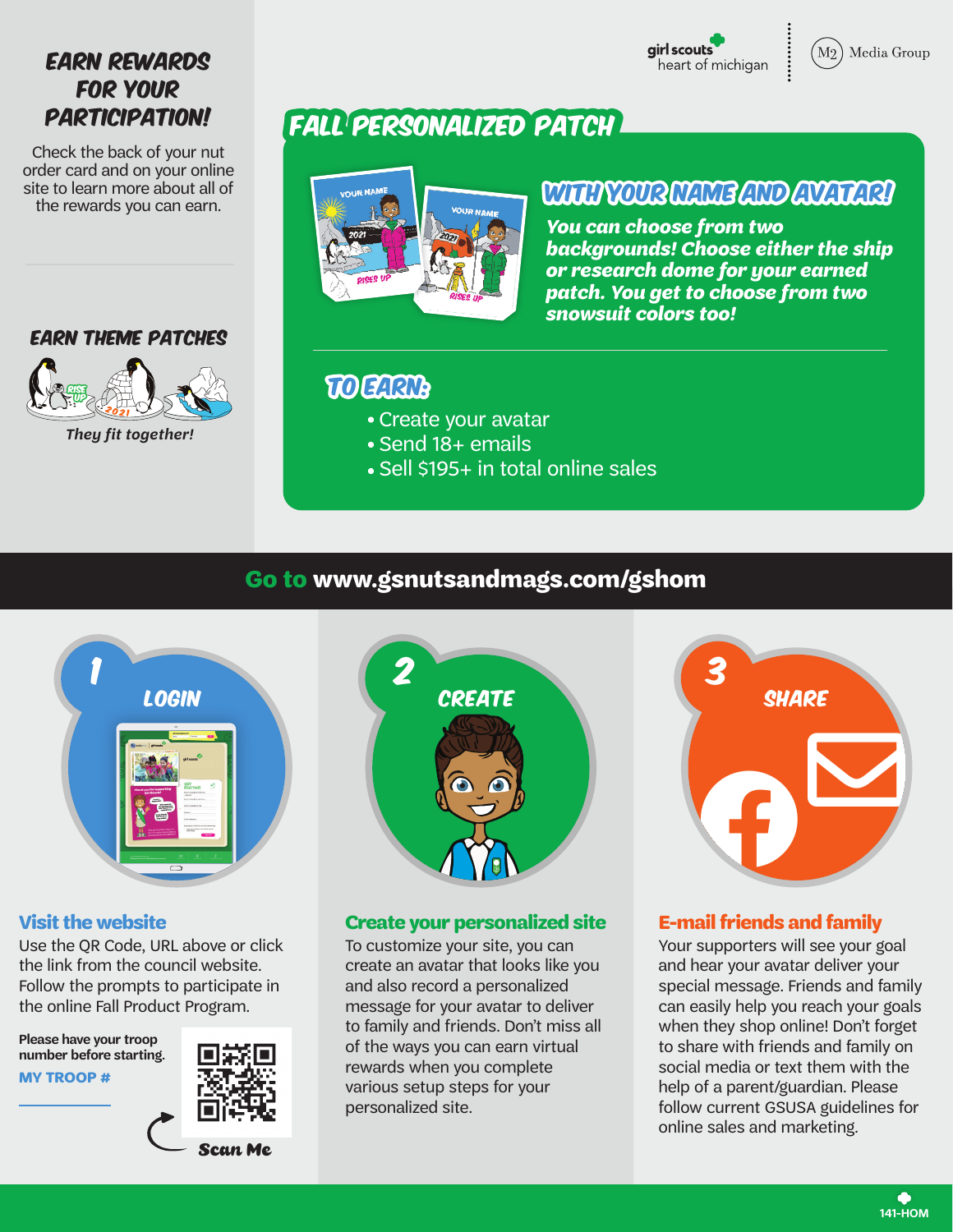girl scouts heart of michigan



# **EARN REWARDS** FOR YOUR PARTICIPATION!

Check the back of your nut order card and on your online site to learn more about all of the rewards you can earn.

### Earn theme patches



Fall Personalized Patch



# With your name and avatar!

*You can choose from two backgrounds! Choose either the ship or research dome for your earned patch. You get to choose from two snowsuit colors too!*

# To earn:

- Create your avatar
- Send 18+ emails
- Sell \$195+ in total online sales

## **Go to www.gsnutsandmags.com/gshom**



Use the QR Code, URL above or click the link from the council website. Follow the prompts to participate in the online Fall Product Program.

**MY TROOP # Please have your troop number before starting.**





### **Visit the website Create your personalized site E-mail friends and family**

To customize your site, you can create an avatar that looks like you and also record a personalized message for your avatar to deliver to family and friends. Don't miss all of the ways you can earn virtual rewards when you complete various setup steps for your personalized site.



Your supporters will see your goal and hear your avatar deliver your special message. Friends and family can easily help you reach your goals when they shop online! Don't forget to share with friends and family on social media or text them with the help of a parent/guardian. Please follow current GSUSA guidelines for online sales and marketing.

> ℯ **141-HOM**